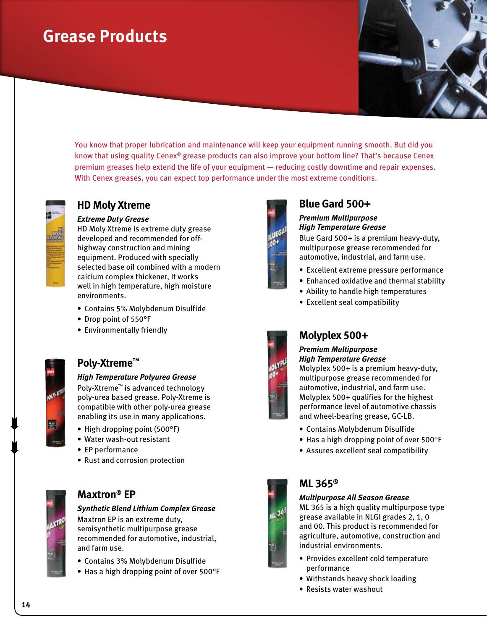# **Grease Products**

You know that proper lubrication and maintenance will keep your equipment running smooth. But did you know that using quality Cenex® grease products can also improve your bottom line? That's because Cenex premium greases help extend the life of your equipment — reducing costly downtime and repair expenses. With Cenex greases, you can expect top performance under the most extreme conditions.



## **HD Moly Xtreme**

#### *Extreme Duty Grease*

HD Moly Xtreme is extreme duty grease developed and recommended for offhighway construction and mining equipment. Produced with specially selected base oil combined with a modern calcium complex thickener, It works well in high temperature, high moisture environments.

- Contains 5% Molybdenum Disulfide
- • Drop point of 550°F
- Environmentally friendly



## **Poly-Xtreme™**

#### *High Temperature Polyurea Grease*

Poly-Xtreme™ is advanced technology poly-urea based grease. Poly-Xtreme is compatible with other poly-urea grease enabling its use in many applications.

- High dropping point (500°F)
- • Water wash-out resistant
- EP performance
- Rust and corrosion protection



## **Maxtron® EP**

#### *Synthetic Blend Lithium Complex Grease*

Maxtron EP is an extreme duty, semisynthetic multipurpose grease recommended for automotive, industrial, and farm use.

- Contains 3% Molybdenum Disulfide
- Has a high dropping point of over 500°F



## **Blue Gard 500+**

#### *Premium Multipurpose High Temperature Grease*

Blue Gard 500+ is a premium heavy-duty, multipurpose grease recommended for automotive, industrial, and farm use.

- Excellent extreme pressure performance
- Enhanced oxidative and thermal stability
- Ability to handle high temperatures
- Excellent seal compatibility



### **Molyplex 500+**

### *Premium Multipurpose*

*High Temperature Grease* Molyplex 500+ is a premium heavy-duty,

multipurpose grease recommended for automotive, industrial, and farm use. Molyplex 500+ qualifies for the highest performance level of automotive chassis and wheel-bearing grease, GC-LB.

- • Contains Molybdenum Disulfide
- Has a high dropping point of over 500°F
- • Assures excellent seal compatibility



#### **ML 365®**

#### *Multipurpose All Season Grease*

ML 365 is a high quality multipurpose type grease available in NLGI grades 2, 1, 0 and 00. This product is recommended for agriculture, automotive, construction and industrial environments.

- Provides excellent cold temperature performance
- Withstands heavy shock loading
- Resists water washout



 $\begin{matrix} \blacksquare \\ \blacksquare \end{matrix}$ 

 $\begin{matrix} \blacksquare \\ \blacksquare \end{matrix}$